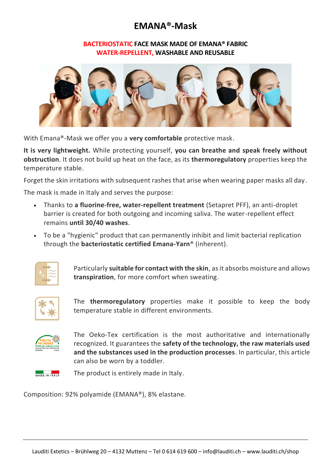## **EMANA®-Mask**

## **BACTERIOSTATIC FACE MASK MADE OF EMANA® FABRIC WATER-REPELLENT, WASHABLE AND REUSABLE**



With Emana®-Mask we offer you a **very comfortable** protective mask.

**It is very lightweight.** While protecting yourself, **you can breathe and speak freely without obstruction**. It does not build up heat on the face, as its **thermoregulatory** properties keep the temperature stable.

Forget the skin irritations with subsequent rashes that arise when wearing paper masks all day.

The mask is made in Italy and serves the purpose:

- Thanks to **a fluorine-free, water-repellent treatment** (Setapret PFF), an anti-droplet barrier is created for both outgoing and incoming saliva. The water-repellent effect remains **until 30/40 washes**.
- To be a "hygienic" product that can permanently inhibit and limit bacterial replication through the **bacteriostatic certified Emana-Yarn**® (inherent).



Particularly **suitable for contact with the skin**, as it absorbs moisture and allows **transpiration**, for more comfort when sweating.



The **thermoregulatory** properties make it possible to keep the body temperature stable in different environments.



The Oeko-Tex certification is the most authoritative and internationally recognized. It guarantees the **safety of the technology, the raw materials used and the substances used in the production processes**. In particular, this article can also be worn by a toddler.

MADE IN ITALY

The product is entirely made in Italy.

Composition: 92% polyamide (EMANA®), 8% elastane.